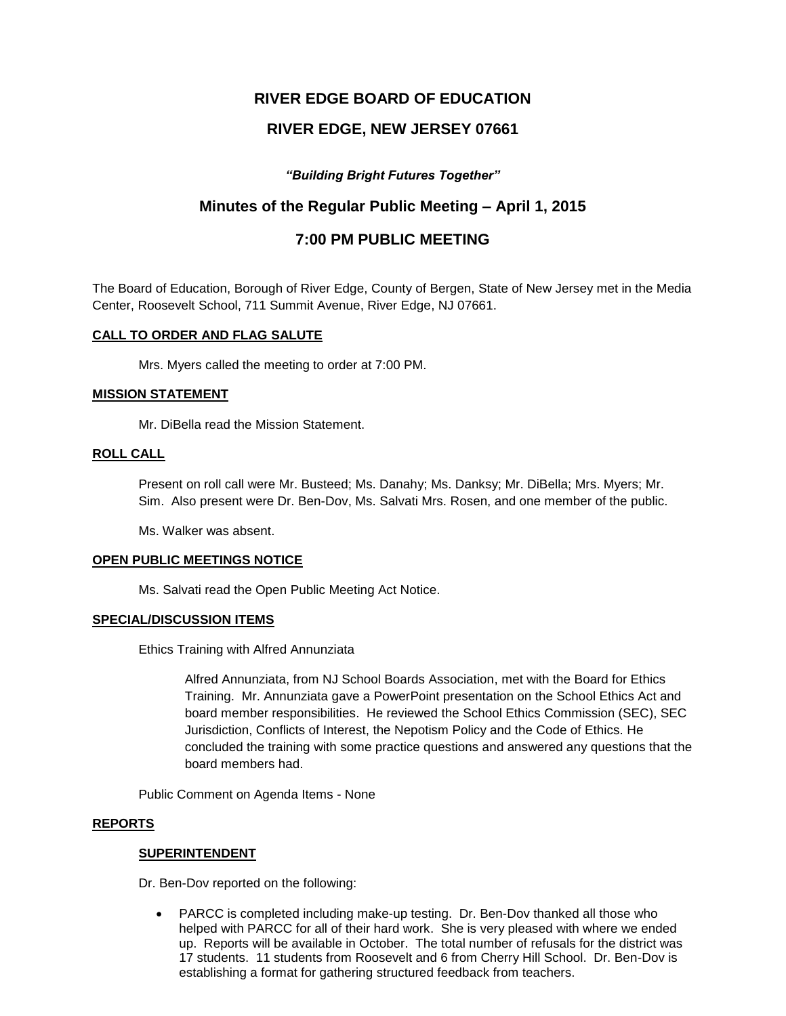# **RIVER EDGE BOARD OF EDUCATION**

# **RIVER EDGE, NEW JERSEY 07661**

# *"Building Bright Futures Together"*

# **Minutes of the Regular Public Meeting – April 1, 2015**

# **7:00 PM PUBLIC MEETING**

The Board of Education, Borough of River Edge, County of Bergen, State of New Jersey met in the Media Center, Roosevelt School, 711 Summit Avenue, River Edge, NJ 07661.

# **CALL TO ORDER AND FLAG SALUTE**

Mrs. Myers called the meeting to order at 7:00 PM.

# **MISSION STATEMENT**

Mr. DiBella read the Mission Statement.

### **ROLL CALL**

Present on roll call were Mr. Busteed; Ms. Danahy; Ms. Danksy; Mr. DiBella; Mrs. Myers; Mr. Sim. Also present were Dr. Ben-Dov, Ms. Salvati Mrs. Rosen, and one member of the public.

Ms. Walker was absent.

### **OPEN PUBLIC MEETINGS NOTICE**

Ms. Salvati read the Open Public Meeting Act Notice.

### **SPECIAL/DISCUSSION ITEMS**

Ethics Training with Alfred Annunziata

Alfred Annunziata, from NJ School Boards Association, met with the Board for Ethics Training. Mr. Annunziata gave a PowerPoint presentation on the School Ethics Act and board member responsibilities. He reviewed the School Ethics Commission (SEC), SEC Jurisdiction, Conflicts of Interest, the Nepotism Policy and the Code of Ethics. He concluded the training with some practice questions and answered any questions that the board members had.

Public Comment on Agenda Items - None

### **REPORTS**

### **SUPERINTENDENT**

Dr. Ben-Dov reported on the following:

 PARCC is completed including make-up testing. Dr. Ben-Dov thanked all those who helped with PARCC for all of their hard work. She is very pleased with where we ended up. Reports will be available in October. The total number of refusals for the district was 17 students. 11 students from Roosevelt and 6 from Cherry Hill School. Dr. Ben-Dov is establishing a format for gathering structured feedback from teachers.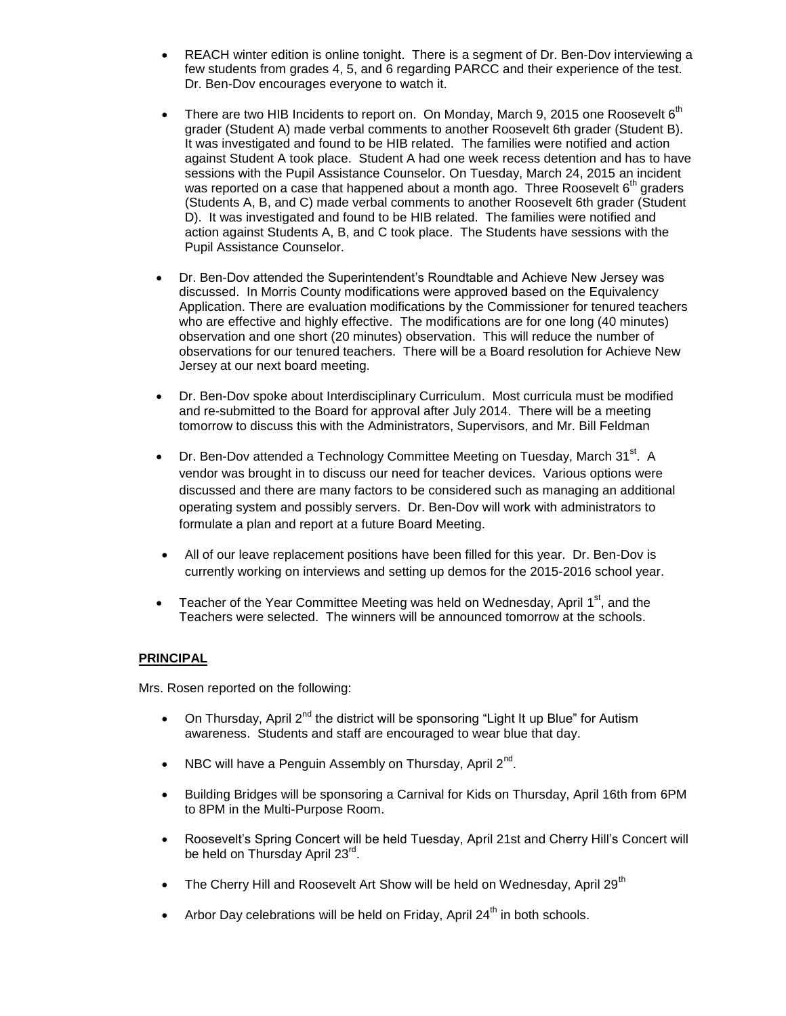- REACH winter edition is online tonight. There is a segment of Dr. Ben-Dov interviewing a few students from grades 4, 5, and 6 regarding PARCC and their experience of the test. Dr. Ben-Dov encourages everyone to watch it.
- There are two HIB Incidents to report on. On Monday, March 9, 2015 one Roosevelt  $6<sup>th</sup>$ grader (Student A) made verbal comments to another Roosevelt 6th grader (Student B). It was investigated and found to be HIB related. The families were notified and action against Student A took place. Student A had one week recess detention and has to have sessions with the Pupil Assistance Counselor. On Tuesday, March 24, 2015 an incident was reported on a case that happened about a month ago. Three Roosevelt  $6<sup>th</sup>$  graders (Students A, B, and C) made verbal comments to another Roosevelt 6th grader (Student D). It was investigated and found to be HIB related. The families were notified and action against Students A, B, and C took place. The Students have sessions with the Pupil Assistance Counselor.
- Dr. Ben-Dov attended the Superintendent's Roundtable and Achieve New Jersey was discussed. In Morris County modifications were approved based on the Equivalency Application. There are evaluation modifications by the Commissioner for tenured teachers who are effective and highly effective. The modifications are for one long (40 minutes) observation and one short (20 minutes) observation. This will reduce the number of observations for our tenured teachers. There will be a Board resolution for Achieve New Jersey at our next board meeting.
- Dr. Ben-Dov spoke about Interdisciplinary Curriculum. Most curricula must be modified and re-submitted to the Board for approval after July 2014. There will be a meeting tomorrow to discuss this with the Administrators, Supervisors, and Mr. Bill Feldman
- Dr. Ben-Dov attended a Technology Committee Meeting on Tuesday, March  $31<sup>st</sup>$ . A vendor was brought in to discuss our need for teacher devices. Various options were discussed and there are many factors to be considered such as managing an additional operating system and possibly servers. Dr. Ben-Dov will work with administrators to formulate a plan and report at a future Board Meeting.
- All of our leave replacement positions have been filled for this year. Dr. Ben-Dov is currently working on interviews and setting up demos for the 2015-2016 school year.
- Teacher of the Year Committee Meeting was held on Wednesday, April  $1<sup>st</sup>$ , and the Teachers were selected. The winners will be announced tomorrow at the schools.

### **PRINCIPAL**

Mrs. Rosen reported on the following:

- On Thursday, April  $2^{nd}$  the district will be sponsoring "Light It up Blue" for Autism awareness. Students and staff are encouraged to wear blue that day.
- NBC will have a Penguin Assembly on Thursday, April  $2^{nd}$ .
- Building Bridges will be sponsoring a Carnival for Kids on Thursday, April 16th from 6PM to 8PM in the Multi-Purpose Room.
- Roosevelt's Spring Concert will be held Tuesday, April 21st and Cherry Hill's Concert will be held on Thursday April 23<sup>rd</sup>.
- The Cherry Hill and Roosevelt Art Show will be held on Wednesday, April 29<sup>th</sup>
- Arbor Day celebrations will be held on Friday, April  $24<sup>th</sup>$  in both schools.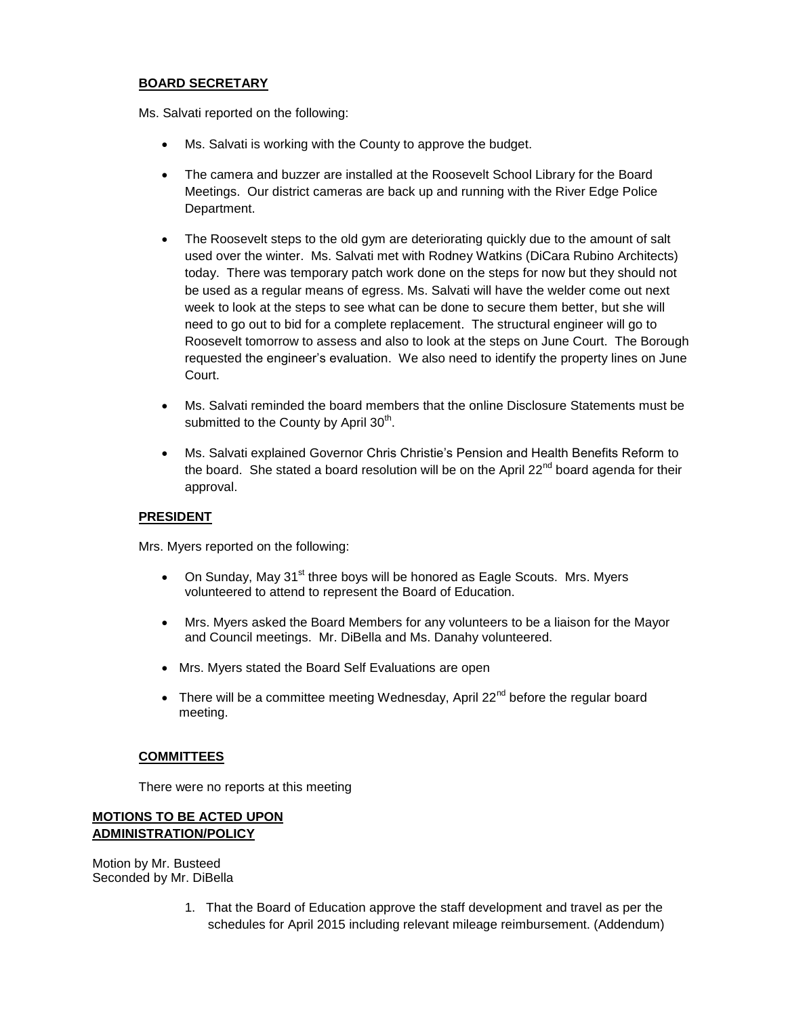# **BOARD SECRETARY**

Ms. Salvati reported on the following:

- Ms. Salvati is working with the County to approve the budget.
- The camera and buzzer are installed at the Roosevelt School Library for the Board Meetings. Our district cameras are back up and running with the River Edge Police Department.
- The Roosevelt steps to the old gym are deteriorating quickly due to the amount of salt used over the winter. Ms. Salvati met with Rodney Watkins (DiCara Rubino Architects) today. There was temporary patch work done on the steps for now but they should not be used as a regular means of egress. Ms. Salvati will have the welder come out next week to look at the steps to see what can be done to secure them better, but she will need to go out to bid for a complete replacement. The structural engineer will go to Roosevelt tomorrow to assess and also to look at the steps on June Court. The Borough requested the engineer's evaluation. We also need to identify the property lines on June Court.
- Ms. Salvati reminded the board members that the online Disclosure Statements must be submitted to the County by April  $30<sup>th</sup>$ .
- Ms. Salvati explained Governor Chris Christie's Pension and Health Benefits Reform to the board. She stated a board resolution will be on the April 22 $^{nd}$  board agenda for their approval.

### **PRESIDENT**

Mrs. Myers reported on the following:

- On Sunday, May 31<sup>st</sup> three boys will be honored as Eagle Scouts. Mrs. Myers volunteered to attend to represent the Board of Education.
- Mrs. Myers asked the Board Members for any volunteers to be a liaison for the Mayor and Council meetings. Mr. DiBella and Ms. Danahy volunteered.
- Mrs. Myers stated the Board Self Evaluations are open
- There will be a committee meeting Wednesday, April 22<sup>nd</sup> before the regular board meeting.

### **COMMITTEES**

There were no reports at this meeting

# **MOTIONS TO BE ACTED UPON ADMINISTRATION/POLICY**

Motion by Mr. Busteed Seconded by Mr. DiBella

> 1. That the Board of Education approve the staff development and travel as per the schedules for April 2015 including relevant mileage reimbursement. (Addendum)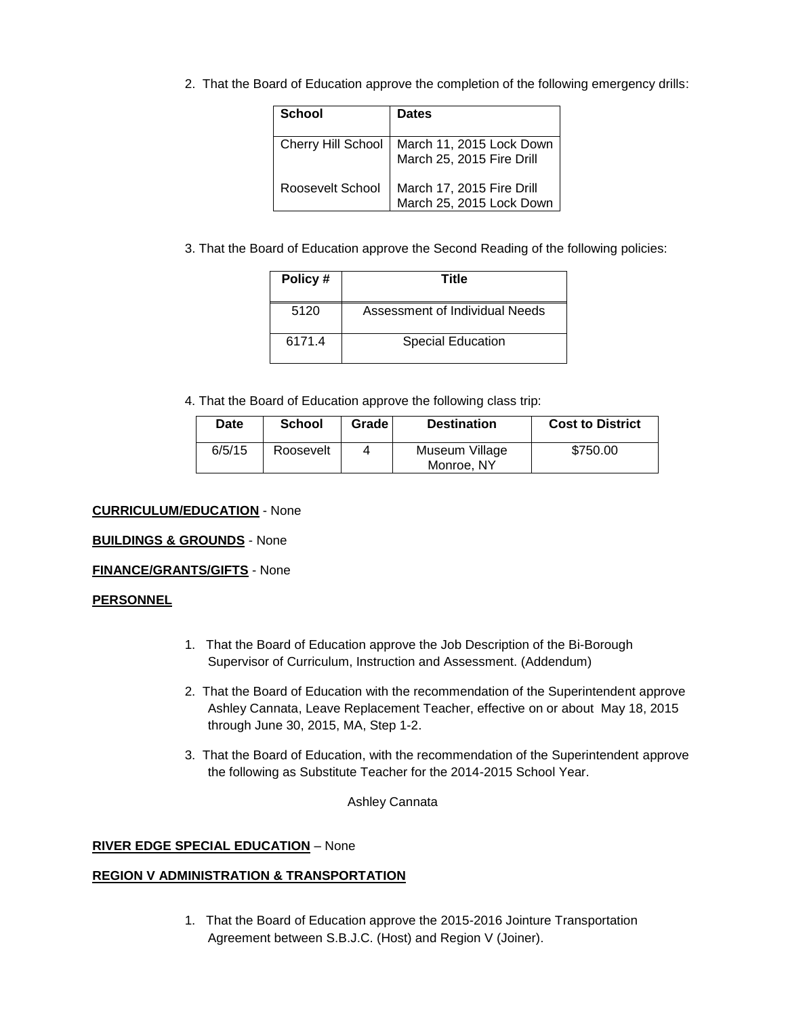2. That the Board of Education approve the completion of the following emergency drills:

| <b>School</b>    | <b>Dates</b>                                                               |
|------------------|----------------------------------------------------------------------------|
|                  | Cherry Hill School   March 11, 2015 Lock Down<br>March 25, 2015 Fire Drill |
| Roosevelt School | March 17, 2015 Fire Drill<br>March 25, 2015 Lock Down                      |

3. That the Board of Education approve the Second Reading of the following policies:

| Policy# | Title                          |
|---------|--------------------------------|
| 5120    | Assessment of Individual Needs |
| 6171.4  | <b>Special Education</b>       |

4. That the Board of Education approve the following class trip:

| Date   | <b>School</b> | Grade | <b>Destination</b>           | <b>Cost to District</b> |
|--------|---------------|-------|------------------------------|-------------------------|
| 6/5/15 | Roosevelt     | 4     | Museum Village<br>Monroe, NY | \$750.00                |

#### **CURRICULUM/EDUCATION** - None

#### **BUILDINGS & GROUNDS** - None

#### **FINANCE/GRANTS/GIFTS** - None

### **PERSONNEL**

- 1. That the Board of Education approve the Job Description of the Bi-Borough Supervisor of Curriculum, Instruction and Assessment. (Addendum)
- 2. That the Board of Education with the recommendation of the Superintendent approve Ashley Cannata, Leave Replacement Teacher, effective on or about May 18, 2015 through June 30, 2015, MA, Step 1-2.
- 3. That the Board of Education, with the recommendation of the Superintendent approve the following as Substitute Teacher for the 2014-2015 School Year.

Ashley Cannata

#### **RIVER EDGE SPECIAL EDUCATION** – None

## **REGION V ADMINISTRATION & TRANSPORTATION**

1. That the Board of Education approve the 2015-2016 Jointure Transportation Agreement between S.B.J.C. (Host) and Region V (Joiner).